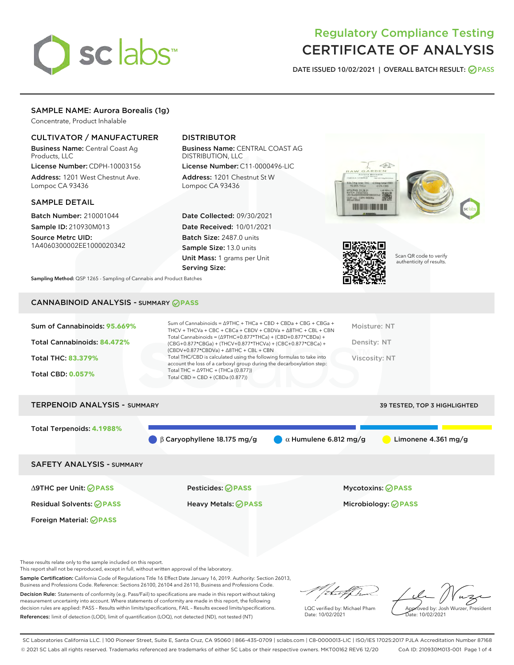

# Regulatory Compliance Testing CERTIFICATE OF ANALYSIS

DATE ISSUED 10/02/2021 | OVERALL BATCH RESULT: @ PASS

# SAMPLE NAME: Aurora Borealis (1g)

Concentrate, Product Inhalable

### CULTIVATOR / MANUFACTURER

Business Name: Central Coast Ag Products, LLC

License Number: CDPH-10003156 Address: 1201 West Chestnut Ave. Lompoc CA 93436

#### SAMPLE DETAIL

Batch Number: 210001044 Sample ID: 210930M013

Source Metrc UID: 1A4060300002EE1000020342

# DISTRIBUTOR

Business Name: CENTRAL COAST AG DISTRIBUTION, LLC

License Number: C11-0000496-LIC Address: 1201 Chestnut St W Lompoc CA 93436

Date Collected: 09/30/2021 Date Received: 10/01/2021 Batch Size: 2487.0 units Sample Size: 13.0 units Unit Mass: 1 grams per Unit Serving Size:





Scan QR code to verify authenticity of results.

Sampling Method: QSP 1265 - Sampling of Cannabis and Product Batches

# CANNABINOID ANALYSIS - SUMMARY **PASS**

| Sum of Cannabinoids: 95.669% | Sum of Cannabinoids = $\triangle$ 9THC + THCa + CBD + CBDa + CBG + CBGa +<br>THCV + THCVa + CBC + CBCa + CBDV + CBDVa + $\Delta$ 8THC + CBL + CBN                                    | Moisture: NT  |
|------------------------------|--------------------------------------------------------------------------------------------------------------------------------------------------------------------------------------|---------------|
| Total Cannabinoids: 84.472%  | Total Cannabinoids = $(\Delta$ 9THC+0.877*THCa) + (CBD+0.877*CBDa) +<br>(CBG+0.877*CBGa) + (THCV+0.877*THCVa) + (CBC+0.877*CBCa) +<br>$(CBDV+0.877*CBDVa) + \Delta 8THC + CBL + CBN$ | Density: NT   |
| <b>Total THC: 83.379%</b>    | Total THC/CBD is calculated using the following formulas to take into<br>account the loss of a carboxyl group during the decarboxylation step:                                       | Viscosity: NT |
| <b>Total CBD: 0.057%</b>     | Total THC = $\triangle$ 9THC + (THCa (0.877))<br>Total CBD = $CBD + (CBDa (0.877))$                                                                                                  |               |

# TERPENOID ANALYSIS - SUMMARY 39 TESTED, TOP 3 HIGHLIGHTED Total Terpenoids: **4.1988%** β Caryophyllene 18.175 mg/g  $\alpha$  Humulene 6.812 mg/g  $\alpha$  Limonene 4.361 mg/g SAFETY ANALYSIS - SUMMARY

Foreign Material: **PASS**

Residual Solvents: **PASS** Heavy Metals: **PASS** Microbiology: **PASS**

∆9THC per Unit: **PASS** Pesticides: **PASS** Mycotoxins: **PASS**

These results relate only to the sample included on this report.

This report shall not be reproduced, except in full, without written approval of the laboratory.

Sample Certification: California Code of Regulations Title 16 Effect Date January 16, 2019. Authority: Section 26013, Business and Professions Code. Reference: Sections 26100, 26104 and 26110, Business and Professions Code. Decision Rule: Statements of conformity (e.g. Pass/Fail) to specifications are made in this report without taking

measurement uncertainty into account. Where statements of conformity are made in this report, the following decision rules are applied: PASS – Results within limits/specifications, FAIL – Results exceed limits/specifications. References: limit of detection (LOD), limit of quantification (LOQ), not detected (ND), not tested (NT)

that for

LQC verified by: Michael Pham Date: 10/02/2021

Approved by: Josh Wurzer, President ate: 10/02/2021

SC Laboratories California LLC. | 100 Pioneer Street, Suite E, Santa Cruz, CA 95060 | 866-435-0709 | sclabs.com | C8-0000013-LIC | ISO/IES 17025:2017 PJLA Accreditation Number 87168 © 2021 SC Labs all rights reserved. Trademarks referenced are trademarks of either SC Labs or their respective owners. MKT00162 REV6 12/20 CoA ID: 210930M013-001 Page 1 of 4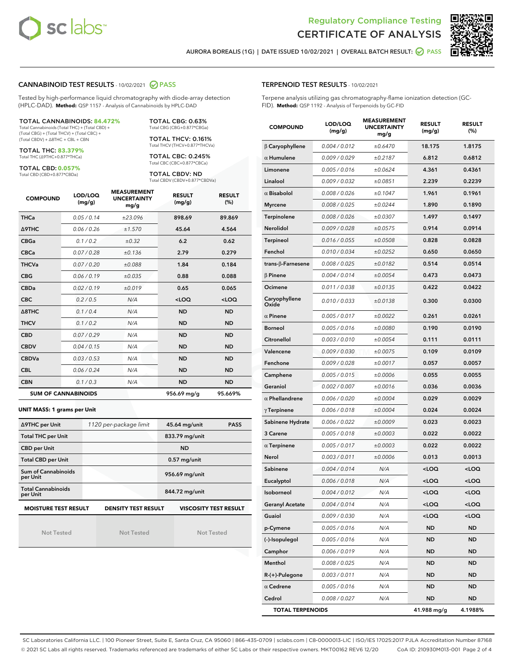



AURORA BOREALIS (1G) | DATE ISSUED 10/02/2021 | OVERALL BATCH RESULT: 2 PASS

#### CANNABINOID TEST RESULTS - 10/02/2021 2 PASS

Tested by high-performance liquid chromatography with diode-array detection (HPLC-DAD). **Method:** QSP 1157 - Analysis of Cannabinoids by HPLC-DAD

#### TOTAL CANNABINOIDS: **84.472%**

Total Cannabinoids (Total THC) + (Total CBD) + (Total CBG) + (Total THCV) + (Total CBC) + (Total CBDV) + ∆8THC + CBL + CBN

TOTAL THC: **83.379%** Total THC (∆9THC+0.877\*THCa)

TOTAL CBD: **0.057%**

Total CBD (CBD+0.877\*CBDa)

TOTAL CBG: 0.63% Total CBG (CBG+0.877\*CBGa)

TOTAL THCV: 0.161% Total THCV (THCV+0.877\*THCVa)

TOTAL CBC: 0.245% Total CBC (CBC+0.877\*CBCa)

TOTAL CBDV: ND Total CBDV (CBDV+0.877\*CBDVa)

| <b>COMPOUND</b>            | LOD/LOQ<br>(mg/g) | <b>MEASUREMENT</b><br><b>UNCERTAINTY</b><br>mg/g | <b>RESULT</b><br>(mg/g) | <b>RESULT</b><br>(%) |
|----------------------------|-------------------|--------------------------------------------------|-------------------------|----------------------|
| <b>THCa</b>                | 0.05/0.14         | ±23.096                                          | 898.69                  | 89.869               |
| <b>A9THC</b>               | 0.06 / 0.26       | ±1.570                                           | 45.64                   | 4.564                |
| <b>CBGa</b>                | 0.1 / 0.2         | $\pm 0.32$                                       | 6.2                     | 0.62                 |
| <b>CBCa</b>                | 0.07 / 0.28       | ±0.136                                           | 2.79                    | 0.279                |
| <b>THCVa</b>               | 0.07/0.20         | ±0.088                                           | 1.84                    | 0.184                |
| <b>CBG</b>                 | 0.06/0.19         | ±0.035                                           | 0.88                    | 0.088                |
| <b>CBDa</b>                | 0.02/0.19         | ±0.019                                           | 0.65                    | 0.065                |
| <b>CBC</b>                 | 0.2 / 0.5         | N/A                                              | $<$ LOQ                 | $<$ LOQ              |
| $\triangle$ 8THC           | 0.1 / 0.4         | N/A                                              | <b>ND</b>               | <b>ND</b>            |
| <b>THCV</b>                | 0.1/0.2           | N/A                                              | <b>ND</b>               | <b>ND</b>            |
| <b>CBD</b>                 | 0.07/0.29         | N/A                                              | <b>ND</b>               | <b>ND</b>            |
| <b>CBDV</b>                | 0.04/0.15         | N/A                                              | <b>ND</b>               | <b>ND</b>            |
| <b>CBDVa</b>               | 0.03/0.53         | N/A                                              | <b>ND</b>               | <b>ND</b>            |
| <b>CBL</b>                 | 0.06 / 0.24       | N/A                                              | <b>ND</b>               | <b>ND</b>            |
| <b>CBN</b>                 | 0.1/0.3           | N/A                                              | <b>ND</b>               | <b>ND</b>            |
| <b>SUM OF CANNABINOIDS</b> |                   |                                                  | 956.69 mg/g             | 95.669%              |

#### **UNIT MASS: 1 grams per Unit**

| ∆9THC per Unit                        | 1120 per-package limit     | 45.64 mg/unit<br><b>PASS</b> |
|---------------------------------------|----------------------------|------------------------------|
| <b>Total THC per Unit</b>             |                            | 833.79 mg/unit               |
| <b>CBD per Unit</b>                   |                            | <b>ND</b>                    |
| <b>Total CBD per Unit</b>             |                            | $0.57$ mg/unit               |
| Sum of Cannabinoids<br>per Unit       |                            | 956.69 mg/unit               |
| <b>Total Cannabinoids</b><br>per Unit |                            | 844.72 mg/unit               |
| <b>MOISTURE TEST RESULT</b>           | <b>DENSITY TEST RESULT</b> | <b>VISCOSITY TEST RESULT</b> |

Not Tested

Not Tested

Not Tested

#### TERPENOID TEST RESULTS - 10/02/2021

Terpene analysis utilizing gas chromatography-flame ionization detection (GC-FID). **Method:** QSP 1192 - Analysis of Terpenoids by GC-FID

| <b>COMPOUND</b>         | LOD/LOQ<br>(mg/g) | <b>MEASUREMENT</b><br><b>UNCERTAINTY</b><br>mg/g | <b>RESULT</b><br>(mg/g)                         | <b>RESULT</b><br>$(\%)$ |
|-------------------------|-------------------|--------------------------------------------------|-------------------------------------------------|-------------------------|
| $\beta$ Caryophyllene   | 0.004 / 0.012     | ±0.6470                                          | 18.175                                          | 1.8175                  |
| $\alpha$ Humulene       | 0.009/0.029       | ±0.2187                                          | 6.812                                           | 0.6812                  |
| Limonene                | 0.005 / 0.016     | ±0.0624                                          | 4.361                                           | 0.4361                  |
| Linalool                | 0.009 / 0.032     | ±0.0851                                          | 2.239                                           | 0.2239                  |
| $\alpha$ Bisabolol      | 0.008 / 0.026     | ±0.1047                                          | 1.961                                           | 0.1961                  |
| <b>Myrcene</b>          | 0.008 / 0.025     | ±0.0244                                          | 1.890                                           | 0.1890                  |
| Terpinolene             | 0.008 / 0.026     | ±0.0307                                          | 1.497                                           | 0.1497                  |
| Nerolidol               | 0.009 / 0.028     | ±0.0575                                          | 0.914                                           | 0.0914                  |
| Terpineol               | 0.016 / 0.055     | ±0.0508                                          | 0.828                                           | 0.0828                  |
| Fenchol                 | 0.010 / 0.034     | ±0.0252                                          | 0.650                                           | 0.0650                  |
| trans-β-Farnesene       | 0.008 / 0.025     | ±0.0182                                          | 0.514                                           | 0.0514                  |
| $\beta$ Pinene          | 0.004 / 0.014     | ±0.0054                                          | 0.473                                           | 0.0473                  |
| Ocimene                 | 0.011 / 0.038     | ±0.0135                                          | 0.422                                           | 0.0422                  |
| Caryophyllene<br>Oxide  | 0.010 / 0.033     | ±0.0138                                          | 0.300                                           | 0.0300                  |
| $\alpha$ Pinene         | 0.005 / 0.017     | ±0.0022                                          | 0.261                                           | 0.0261                  |
| <b>Borneol</b>          | 0.005 / 0.016     | ±0.0080                                          | 0.190                                           | 0.0190                  |
| Citronellol             | 0.003 / 0.010     | ±0.0054                                          | 0.111                                           | 0.0111                  |
| Valencene               | 0.009 / 0.030     | ±0.0075                                          | 0.109                                           | 0.0109                  |
| Fenchone                | 0.009 / 0.028     | ±0.0017                                          | 0.057                                           | 0.0057                  |
| Camphene                | 0.005 / 0.015     | ±0.0006                                          | 0.055                                           | 0.0055                  |
| Geraniol                | 0.002 / 0.007     | ±0.0016                                          | 0.036                                           | 0.0036                  |
| $\alpha$ Phellandrene   | 0.006 / 0.020     | ±0.0004                                          | 0.029                                           | 0.0029                  |
| $\gamma$ Terpinene      | 0.006 / 0.018     | ±0.0004                                          | 0.024                                           | 0.0024                  |
| Sabinene Hydrate        | 0.006 / 0.022     | ±0.0009                                          | 0.023                                           | 0.0023                  |
| 3 Carene                | 0.005 / 0.018     | ±0.0003                                          | 0.022                                           | 0.0022                  |
| $\alpha$ Terpinene      | 0.005 / 0.017     | ±0.0003                                          | 0.022                                           | 0.0022                  |
| Nerol                   | 0.003 / 0.011     | ±0.0006                                          | 0.013                                           | 0.0013                  |
| Sabinene                | 0.004 / 0.014     | N/A                                              | <loq< th=""><th><loq< th=""></loq<></th></loq<> | <loq< th=""></loq<>     |
| Eucalyptol              | 0.006 / 0.018     | N/A                                              | <loq< th=""><th><loq< th=""></loq<></th></loq<> | <loq< th=""></loq<>     |
| Isoborneol              | 0.004 / 0.012     | N/A                                              | < 0                                             | $\sim$ 0.0              |
| <b>Geranyl Acetate</b>  | 0.004 / 0.014     | N/A                                              | <loq< th=""><th><loq< th=""></loq<></th></loq<> | <loq< th=""></loq<>     |
| Guaiol                  | 0.009 / 0.030     | N/A                                              | <loq< th=""><th><loq< th=""></loq<></th></loq<> | <loq< th=""></loq<>     |
| p-Cymene                | 0.005 / 0.016     | N/A                                              | ND                                              | ND                      |
| (-)-Isopulegol          | 0.005 / 0.016     | N/A                                              | ND                                              | ND                      |
| Camphor                 | 0.006 / 0.019     | N/A                                              | ND                                              | ND                      |
| Menthol                 | 0.008 / 0.025     | N/A                                              | ND                                              | ND                      |
| R-(+)-Pulegone          | 0.003 / 0.011     | N/A                                              | ND                                              | ND                      |
| $\alpha$ Cedrene        | 0.005 / 0.016     | N/A                                              | ND                                              | ND                      |
| Cedrol                  | 0.008 / 0.027     | N/A                                              | ND                                              | <b>ND</b>               |
| <b>TOTAL TERPENOIDS</b> |                   |                                                  | 41.988 mg/g                                     | 4.1988%                 |

SC Laboratories California LLC. | 100 Pioneer Street, Suite E, Santa Cruz, CA 95060 | 866-435-0709 | sclabs.com | C8-0000013-LIC | ISO/IES 17025:2017 PJLA Accreditation Number 87168 © 2021 SC Labs all rights reserved. Trademarks referenced are trademarks of either SC Labs or their respective owners. MKT00162 REV6 12/20 CoA ID: 210930M013-001 Page 2 of 4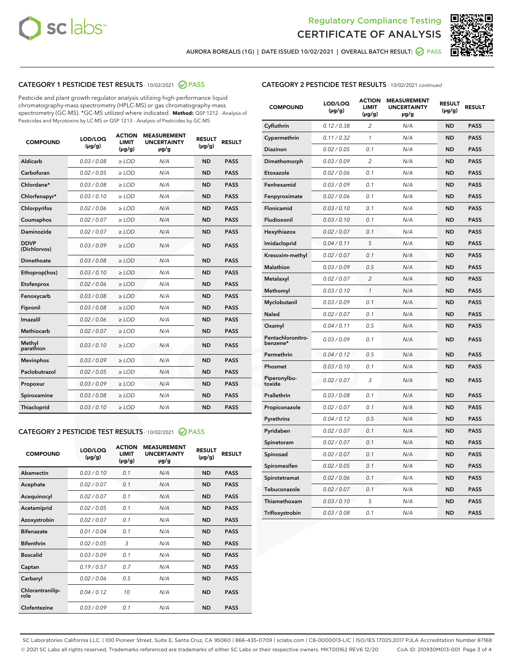



AURORA BOREALIS (1G) | DATE ISSUED 10/02/2021 | OVERALL BATCH RESULT: @ PASS

# CATEGORY 1 PESTICIDE TEST RESULTS - 10/02/2021 2 PASS

Pesticide and plant growth regulator analysis utilizing high-performance liquid chromatography-mass spectrometry (HPLC-MS) or gas chromatography-mass spectrometry (GC-MS). \*GC-MS utilized where indicated. **Method:** QSP 1212 - Analysis of Pesticides and Mycotoxins by LC-MS or QSP 1213 - Analysis of Pesticides by GC-MS

| <b>COMPOUND</b>             | LOD/LOQ<br>$(\mu g/g)$ | <b>ACTION</b><br><b>LIMIT</b><br>$(\mu g/g)$ | <b>MEASUREMENT</b><br><b>UNCERTAINTY</b><br>$\mu$ g/g | <b>RESULT</b><br>$(\mu g/g)$ | <b>RESULT</b> |
|-----------------------------|------------------------|----------------------------------------------|-------------------------------------------------------|------------------------------|---------------|
| Aldicarb                    | 0.03 / 0.08            | $\ge$ LOD                                    | N/A                                                   | <b>ND</b>                    | <b>PASS</b>   |
| Carbofuran                  | 0.02/0.05              | $>$ LOD                                      | N/A                                                   | <b>ND</b>                    | <b>PASS</b>   |
| Chlordane*                  | 0.03 / 0.08            | $\ge$ LOD                                    | N/A                                                   | <b>ND</b>                    | <b>PASS</b>   |
| Chlorfenapyr*               | 0.03/0.10              | $\ge$ LOD                                    | N/A                                                   | <b>ND</b>                    | <b>PASS</b>   |
| Chlorpyrifos                | 0.02 / 0.06            | $\ge$ LOD                                    | N/A                                                   | <b>ND</b>                    | <b>PASS</b>   |
| Coumaphos                   | 0.02 / 0.07            | $>$ LOD                                      | N/A                                                   | <b>ND</b>                    | <b>PASS</b>   |
| Daminozide                  | 0.02 / 0.07            | $\ge$ LOD                                    | N/A                                                   | <b>ND</b>                    | <b>PASS</b>   |
| <b>DDVP</b><br>(Dichlorvos) | 0.03/0.09              | $\ge$ LOD                                    | N/A                                                   | <b>ND</b>                    | <b>PASS</b>   |
| <b>Dimethoate</b>           | 0.03 / 0.08            | $\ge$ LOD                                    | N/A                                                   | <b>ND</b>                    | <b>PASS</b>   |
| Ethoprop(hos)               | 0.03/0.10              | $>$ LOD                                      | N/A                                                   | <b>ND</b>                    | <b>PASS</b>   |
| Etofenprox                  | 0.02 / 0.06            | $\ge$ LOD                                    | N/A                                                   | <b>ND</b>                    | <b>PASS</b>   |
| Fenoxycarb                  | 0.03 / 0.08            | $>$ LOD                                      | N/A                                                   | <b>ND</b>                    | <b>PASS</b>   |
| Fipronil                    | 0.03 / 0.08            | $\ge$ LOD                                    | N/A                                                   | <b>ND</b>                    | <b>PASS</b>   |
| Imazalil                    | 0.02 / 0.06            | $\ge$ LOD                                    | N/A                                                   | <b>ND</b>                    | <b>PASS</b>   |
| <b>Methiocarb</b>           | 0.02 / 0.07            | $\ge$ LOD                                    | N/A                                                   | <b>ND</b>                    | <b>PASS</b>   |
| Methyl<br>parathion         | 0.03/0.10              | $>$ LOD                                      | N/A                                                   | <b>ND</b>                    | <b>PASS</b>   |
| <b>Mevinphos</b>            | 0.03/0.09              | $>$ LOD                                      | N/A                                                   | <b>ND</b>                    | <b>PASS</b>   |
| Paclobutrazol               | 0.02 / 0.05            | $\ge$ LOD                                    | N/A                                                   | <b>ND</b>                    | <b>PASS</b>   |
| Propoxur                    | 0.03/0.09              | $\ge$ LOD                                    | N/A                                                   | <b>ND</b>                    | <b>PASS</b>   |
| Spiroxamine                 | 0.03 / 0.08            | $\ge$ LOD                                    | N/A                                                   | <b>ND</b>                    | <b>PASS</b>   |
| <b>Thiacloprid</b>          | 0.03/0.10              | $\ge$ LOD                                    | N/A                                                   | <b>ND</b>                    | <b>PASS</b>   |
|                             |                        |                                              |                                                       |                              |               |

## CATEGORY 2 PESTICIDE TEST RESULTS - 10/02/2021 @ PASS

| <b>COMPOUND</b>          | LOD/LOO<br>$(\mu g/g)$ | <b>ACTION</b><br>LIMIT<br>$(\mu g/g)$ | <b>MEASUREMENT</b><br><b>UNCERTAINTY</b><br>$\mu$ g/g | <b>RESULT</b><br>$(\mu g/g)$ | <b>RESULT</b> |  |
|--------------------------|------------------------|---------------------------------------|-------------------------------------------------------|------------------------------|---------------|--|
| Abamectin                | 0.03/0.10              | 0.1                                   | N/A                                                   | <b>ND</b>                    | <b>PASS</b>   |  |
| Acephate                 | 0.02/0.07              | 0.1                                   | N/A                                                   | <b>ND</b>                    | <b>PASS</b>   |  |
| Acequinocyl              | 0.02/0.07              | 0.1                                   | N/A                                                   | <b>ND</b>                    | <b>PASS</b>   |  |
| Acetamiprid              | 0.02/0.05              | 0.1                                   | N/A                                                   | <b>ND</b>                    | <b>PASS</b>   |  |
| Azoxystrobin             | 0.02/0.07              | 0.1                                   | N/A                                                   | <b>ND</b>                    | <b>PASS</b>   |  |
| <b>Bifenazate</b>        | 0.01/0.04              | 0.1                                   | N/A                                                   | <b>ND</b>                    | <b>PASS</b>   |  |
| <b>Bifenthrin</b>        | 0.02/0.05              | 3                                     | N/A                                                   | <b>ND</b>                    | <b>PASS</b>   |  |
| <b>Boscalid</b>          | 0.03/0.09              | 0.1                                   | N/A                                                   | <b>ND</b>                    | <b>PASS</b>   |  |
| Captan                   | 0.19/0.57              | 0.7                                   | N/A                                                   | <b>ND</b>                    | <b>PASS</b>   |  |
| Carbaryl                 | 0.02/0.06              | 0.5                                   | N/A                                                   | <b>ND</b>                    | <b>PASS</b>   |  |
| Chlorantranilip-<br>role | 0.04/0.12              | 10                                    | N/A                                                   | <b>ND</b>                    | <b>PASS</b>   |  |
| Clofentezine             | 0.03/0.09              | 0.1                                   | N/A                                                   | <b>ND</b>                    | <b>PASS</b>   |  |

| <b>CATEGORY 2 PESTICIDE TEST RESULTS</b> - 10/02/2021 continued |
|-----------------------------------------------------------------|
|-----------------------------------------------------------------|

| <b>COMPOUND</b>               | LOD/LOQ<br>(µg/g) | <b>ACTION</b><br><b>LIMIT</b><br>$(\mu g/g)$ | <b>MEASUREMENT</b><br><b>UNCERTAINTY</b><br>µg/g | <b>RESULT</b><br>(µg/g) | <b>RESULT</b> |
|-------------------------------|-------------------|----------------------------------------------|--------------------------------------------------|-------------------------|---------------|
| Cyfluthrin                    | 0.12 / 0.38       | 2                                            | N/A                                              | <b>ND</b>               | <b>PASS</b>   |
| Cypermethrin                  | 0.11 / 0.32       | 1                                            | N/A                                              | ND                      | <b>PASS</b>   |
| <b>Diazinon</b>               | 0.02 / 0.05       | 0.1                                          | N/A                                              | ND                      | <b>PASS</b>   |
| Dimethomorph                  | 0.03 / 0.09       | $\overline{c}$                               | N/A                                              | ND                      | <b>PASS</b>   |
| Etoxazole                     | 0.02 / 0.06       | 0.1                                          | N/A                                              | ND                      | <b>PASS</b>   |
| Fenhexamid                    | 0.03 / 0.09       | 0.1                                          | N/A                                              | <b>ND</b>               | <b>PASS</b>   |
| Fenpyroximate                 | 0.02 / 0.06       | 0.1                                          | N/A                                              | ND                      | <b>PASS</b>   |
| Flonicamid                    | 0.03 / 0.10       | 0.1                                          | N/A                                              | ND                      | <b>PASS</b>   |
| Fludioxonil                   | 0.03 / 0.10       | 0.1                                          | N/A                                              | <b>ND</b>               | <b>PASS</b>   |
| Hexythiazox                   | 0.02 / 0.07       | 0.1                                          | N/A                                              | <b>ND</b>               | <b>PASS</b>   |
| Imidacloprid                  | 0.04 / 0.11       | 5                                            | N/A                                              | ND                      | <b>PASS</b>   |
| Kresoxim-methyl               | 0.02 / 0.07       | 0.1                                          | N/A                                              | ND                      | <b>PASS</b>   |
| <b>Malathion</b>              | 0.03 / 0.09       | 0.5                                          | N/A                                              | <b>ND</b>               | <b>PASS</b>   |
| Metalaxyl                     | 0.02 / 0.07       | $\overline{2}$                               | N/A                                              | <b>ND</b>               | <b>PASS</b>   |
| Methomyl                      | 0.03 / 0.10       | 1                                            | N/A                                              | ND                      | <b>PASS</b>   |
| Myclobutanil                  | 0.03 / 0.09       | 0.1                                          | N/A                                              | <b>ND</b>               | <b>PASS</b>   |
| Naled                         | 0.02 / 0.07       | 0.1                                          | N/A                                              | ND                      | <b>PASS</b>   |
| Oxamyl                        | 0.04 / 0.11       | 0.5                                          | N/A                                              | ND                      | <b>PASS</b>   |
| Pentachloronitro-<br>benzene* | 0.03 / 0.09       | 0.1                                          | N/A                                              | ND                      | <b>PASS</b>   |
| Permethrin                    | 0.04 / 0.12       | 0.5                                          | N/A                                              | ND                      | <b>PASS</b>   |
| Phosmet                       | 0.03 / 0.10       | 0.1                                          | N/A                                              | ND                      | <b>PASS</b>   |
| Piperonylbu-<br>toxide        | 0.02 / 0.07       | 3                                            | N/A                                              | ND                      | <b>PASS</b>   |
| Prallethrin                   | 0.03 / 0.08       | 0.1                                          | N/A                                              | <b>ND</b>               | <b>PASS</b>   |
| Propiconazole                 | 0.02 / 0.07       | 0.1                                          | N/A                                              | ND                      | <b>PASS</b>   |
| Pyrethrins                    | 0.04 / 0.12       | 0.5                                          | N/A                                              | <b>ND</b>               | <b>PASS</b>   |
| Pyridaben                     | 0.02 / 0.07       | 0.1                                          | N/A                                              | ND                      | <b>PASS</b>   |
| Spinetoram                    | 0.02 / 0.07       | 0.1                                          | N/A                                              | ND                      | <b>PASS</b>   |
| Spinosad                      | 0.02 / 0.07       | 0.1                                          | N/A                                              | ND                      | <b>PASS</b>   |
| Spiromesifen                  | 0.02 / 0.05       | 0.1                                          | N/A                                              | ND                      | <b>PASS</b>   |
| Spirotetramat                 | 0.02 / 0.06       | 0.1                                          | N/A                                              | ND                      | <b>PASS</b>   |
| Tebuconazole                  | 0.02 / 0.07       | 0.1                                          | N/A                                              | ND                      | <b>PASS</b>   |
| Thiamethoxam                  | 0.03 / 0.10       | 5                                            | N/A                                              | ND                      | <b>PASS</b>   |
| Trifloxystrobin               | 0.03 / 0.08       | 0.1                                          | N/A                                              | ND                      | <b>PASS</b>   |

SC Laboratories California LLC. | 100 Pioneer Street, Suite E, Santa Cruz, CA 95060 | 866-435-0709 | sclabs.com | C8-0000013-LIC | ISO/IES 17025:2017 PJLA Accreditation Number 87168 © 2021 SC Labs all rights reserved. Trademarks referenced are trademarks of either SC Labs or their respective owners. MKT00162 REV6 12/20 CoA ID: 210930M013-001 Page 3 of 4